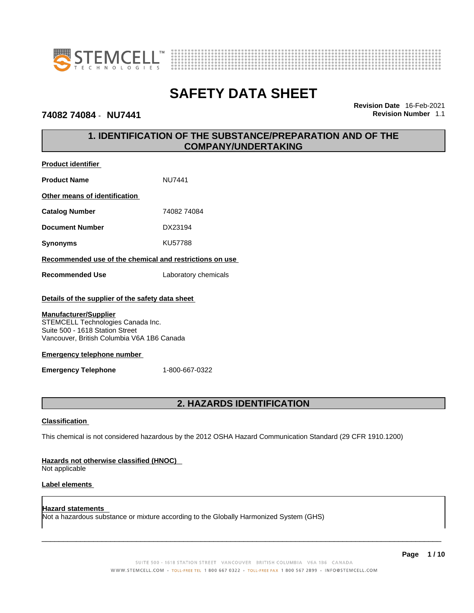



### **74082 74084** - **NU7441 Revision Number** 1.1

**Product identifier**

**Revision Date** 16-Feb-2021

# **1. IDENTIFICATION OF THE SUBSTANCE/PREPARATION AND OF THE COMPANY/UNDERTAKING**

| <b>Product identifier</b>                                                                                                                          |                      |  |
|----------------------------------------------------------------------------------------------------------------------------------------------------|----------------------|--|
| <b>Product Name</b>                                                                                                                                | NU7441               |  |
| Other means of identification                                                                                                                      |                      |  |
| <b>Catalog Number</b>                                                                                                                              | 74082 74084          |  |
| <b>Document Number</b>                                                                                                                             | DX23194              |  |
| <b>Synonyms</b>                                                                                                                                    | KU57788              |  |
| Recommended use of the chemical and restrictions on use                                                                                            |                      |  |
| <b>Recommended Use</b>                                                                                                                             | Laboratory chemicals |  |
| Details of the supplier of the safety data sheet                                                                                                   |                      |  |
| <b>Manufacturer/Supplier</b><br>STEMCELL Technologies Canada Inc.<br>Suite 500 - 1618 Station Street<br>Vancouver, British Columbia V6A 1B6 Canada |                      |  |
| <b>Emergency telephone number</b>                                                                                                                  |                      |  |
| <b>Emergency Telephone</b>                                                                                                                         | 1-800-667-0322       |  |

# **2. HAZARDS IDENTIFICATION**

### **Classification**

This chemical is not considered hazardous by the 2012 OSHA Hazard Communication Standard (29 CFR 1910.1200)

#### **Hazards not otherwise classified (HNOC)**

Not applicable

### **Label elements**

**Hazard statements**  Not a hazardous substance or mixture according to the Globally Harmonized System (GHS)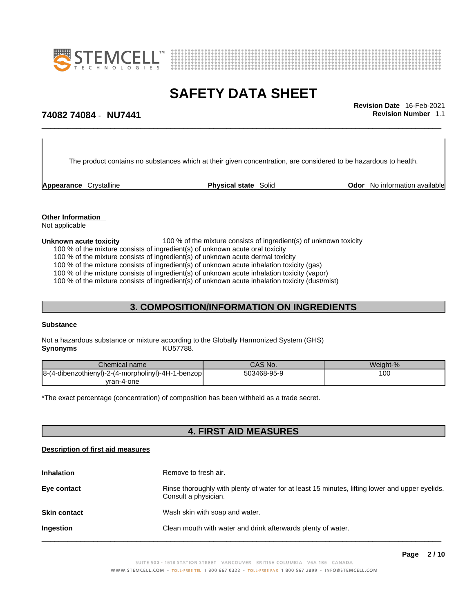



\_\_\_\_\_\_\_\_\_\_\_\_\_\_\_\_\_\_\_\_\_\_\_\_\_\_\_\_\_\_\_\_\_\_\_\_\_\_\_\_\_\_\_\_\_\_\_\_\_\_\_\_\_\_\_\_\_\_\_\_\_\_\_\_\_\_\_\_\_\_\_\_\_\_\_\_\_\_\_\_\_\_\_\_\_\_\_\_\_\_\_\_\_ **Revision Date** 16-Feb-2021

# **74082 74084** - **NU7441 Revision Number** 1.1

The product contains no substances which at their given concentration, are considered to be hazardous to health.

**Appearance** Crystalline **Physical state** Solid **Odor** No information available

**Other Information**  Not applicable

#### **Unknown acute toxicity** 100 % of the mixture consists of ingredient(s) of unknown toxicity

100 % of the mixture consists of ingredient(s) of unknown acute oral toxicity

100 % of the mixture consists of ingredient(s) of unknown acute dermal toxicity

100 % of the mixture consists of ingredient(s) of unknown acute inhalation toxicity (gas)

100 % of the mixture consists of ingredient(s) of unknown acute inhalation toxicity (vapor)

100 % of the mixture consists of ingredient(s) of unknown acute inhalation toxicity (dust/mist)

# **3. COMPOSITION/INFORMATION ON INGREDIENTS**

#### **Substance**

Not a hazardous substance or mixture according to the Globally Harmonized System (GHS) **Synonyms** KU57788.

| Chemical name                                      | CAS No.     | Weight-% |
|----------------------------------------------------|-------------|----------|
| 8-(4-dibenzothienyl)-2-(4-morpholinyl)-4H-1-benzop | 503468-95-9 | 100      |
| yran-4-one                                         |             |          |

\*The exact percentage (concentration) of composition has been withheld as a trade secret.

# **4. FIRST AID MEASURES**

#### **Description of first aid measures**

| <b>Inhalation</b>   | Remove to fresh air.                                                                                                    |
|---------------------|-------------------------------------------------------------------------------------------------------------------------|
| Eye contact         | Rinse thoroughly with plenty of water for at least 15 minutes, lifting lower and upper eyelids.<br>Consult a physician. |
| <b>Skin contact</b> | Wash skin with soap and water.                                                                                          |
| Ingestion           | Clean mouth with water and drink afterwards plenty of water.                                                            |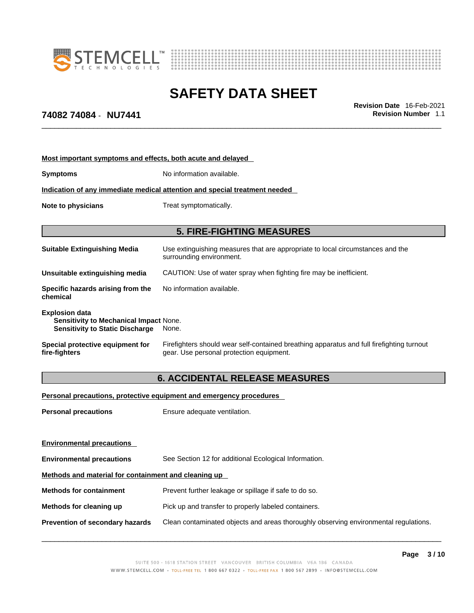

**Most important symptoms and effects, both acute and delayed**

**Indication of any immediate medical attention and special treatment needed**

**Symptoms** No information available.



# **SAFETY DATA SHEET**

\_\_\_\_\_\_\_\_\_\_\_\_\_\_\_\_\_\_\_\_\_\_\_\_\_\_\_\_\_\_\_\_\_\_\_\_\_\_\_\_\_\_\_\_\_\_\_\_\_\_\_\_\_\_\_\_\_\_\_\_\_\_\_\_\_\_\_\_\_\_\_\_\_\_\_\_\_\_\_\_\_\_\_\_\_\_\_\_\_\_\_\_\_ **Revision Date** 16-Feb-2021

# **74082 74084** - **NU7441 Revision Number** 1.1

| Note to physicians                                                                                               | Treat symptomatically.                                                                                                                |
|------------------------------------------------------------------------------------------------------------------|---------------------------------------------------------------------------------------------------------------------------------------|
|                                                                                                                  | <b>5. FIRE-FIGHTING MEASURES</b>                                                                                                      |
| <b>Suitable Extinguishing Media</b>                                                                              | Use extinguishing measures that are appropriate to local circumstances and the<br>surrounding environment.                            |
| Unsuitable extinguishing media                                                                                   | CAUTION: Use of water spray when fighting fire may be inefficient.                                                                    |
| Specific hazards arising from the<br>chemical                                                                    | No information available.                                                                                                             |
| <b>Explosion data</b><br><b>Sensitivity to Mechanical Impact None.</b><br><b>Sensitivity to Static Discharge</b> | None.                                                                                                                                 |
| Special protective equipment for<br>fire-fighters                                                                | Firefighters should wear self-contained breathing apparatus and full firefighting turnout<br>gear. Use personal protection equipment. |

### **6. ACCIDENTAL RELEASE MEASURES**

**Personal precautions, protective equipment and emergency procedures**

**Personal precautions** Ensure adequate ventilation.

**Environmental precautions Environmental precautions** See Section 12 for additional Ecological Information. **Methods and material for containment and cleaning up Methods for containment** Prevent further leakage or spillage if safe to do so. **Methods for cleaning up** Pick up and transfer to properly labeled containers. **Prevention of secondary hazards** Clean contaminated objects and areas thoroughly observing environmental regulations.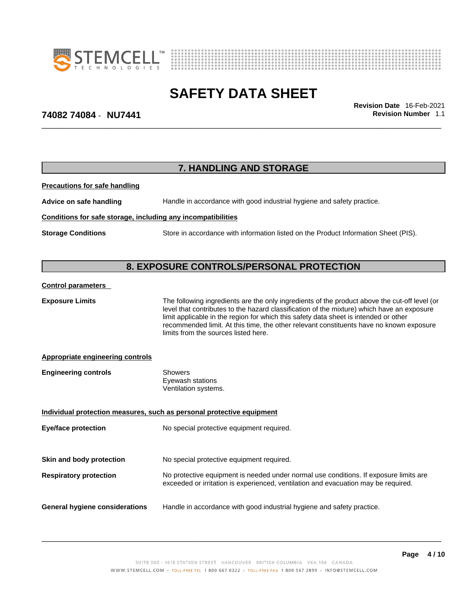



\_\_\_\_\_\_\_\_\_\_\_\_\_\_\_\_\_\_\_\_\_\_\_\_\_\_\_\_\_\_\_\_\_\_\_\_\_\_\_\_\_\_\_\_\_\_\_\_\_\_\_\_\_\_\_\_\_\_\_\_\_\_\_\_\_\_\_\_\_\_\_\_\_\_\_\_\_\_\_\_\_\_\_\_\_\_\_\_\_\_\_\_\_ **Revision Date** 16-Feb-2021

# **74082 74084** - **NU7441 Revision Number** 1.1

|                                                              | 7. HANDLING AND STORAGE                                                                                                                                                                                                                                                                                                                                                                                                |
|--------------------------------------------------------------|------------------------------------------------------------------------------------------------------------------------------------------------------------------------------------------------------------------------------------------------------------------------------------------------------------------------------------------------------------------------------------------------------------------------|
| <b>Precautions for safe handling</b>                         |                                                                                                                                                                                                                                                                                                                                                                                                                        |
| Advice on safe handling                                      | Handle in accordance with good industrial hygiene and safety practice.                                                                                                                                                                                                                                                                                                                                                 |
| Conditions for safe storage, including any incompatibilities |                                                                                                                                                                                                                                                                                                                                                                                                                        |
| <b>Storage Conditions</b>                                    | Store in accordance with information listed on the Product Information Sheet (PIS).                                                                                                                                                                                                                                                                                                                                    |
|                                                              |                                                                                                                                                                                                                                                                                                                                                                                                                        |
|                                                              | 8. EXPOSURE CONTROLS/PERSONAL PROTECTION                                                                                                                                                                                                                                                                                                                                                                               |
| <b>Control parameters</b>                                    |                                                                                                                                                                                                                                                                                                                                                                                                                        |
| <b>Exposure Limits</b>                                       | The following ingredients are the only ingredients of the product above the cut-off level (or<br>level that contributes to the hazard classification of the mixture) which have an exposure<br>limit applicable in the region for which this safety data sheet is intended or other<br>recommended limit. At this time, the other relevant constituents have no known exposure<br>limits from the sources listed here. |
| <b>Appropriate engineering controls</b>                      |                                                                                                                                                                                                                                                                                                                                                                                                                        |
| <b>Engineering controls</b>                                  | <b>Showers</b><br>Eyewash stations<br>Ventilation systems.                                                                                                                                                                                                                                                                                                                                                             |
|                                                              | Individual protection measures, such as personal protective equipment                                                                                                                                                                                                                                                                                                                                                  |
| <b>Eye/face protection</b>                                   | No special protective equipment required.                                                                                                                                                                                                                                                                                                                                                                              |
| Skin and body protection                                     | No special protective equipment required.                                                                                                                                                                                                                                                                                                                                                                              |
| <b>Respiratory protection</b>                                | No protective equipment is needed under normal use conditions. If exposure limits are<br>exceeded or irritation is experienced, ventilation and evacuation may be required.                                                                                                                                                                                                                                            |
| <b>General hygiene considerations</b>                        | Handle in accordance with good industrial hygiene and safety practice.                                                                                                                                                                                                                                                                                                                                                 |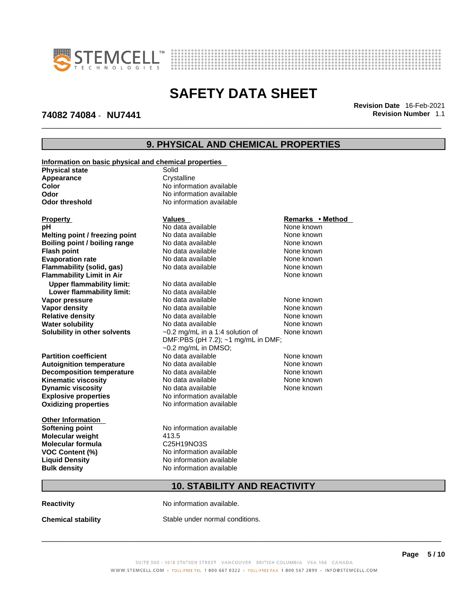



### **74082 74084** - **NU7441 Revision Number** 1.1

\_\_\_\_\_\_\_\_\_\_\_\_\_\_\_\_\_\_\_\_\_\_\_\_\_\_\_\_\_\_\_\_\_\_\_\_\_\_\_\_\_\_\_\_\_\_\_\_\_\_\_\_\_\_\_\_\_\_\_\_\_\_\_\_\_\_\_\_\_\_\_\_\_\_\_\_\_\_\_\_\_\_\_\_\_\_\_\_\_\_\_\_\_ **Revision Date** 16-Feb-2021

# **9. PHYSICAL AND CHEMICAL PROPERTIES**

| Information on basic physical and chemical properties |                                       |                  |
|-------------------------------------------------------|---------------------------------------|------------------|
| <b>Physical state</b>                                 | Solid                                 |                  |
| Appearance                                            | Crystalline                           |                  |
| Color                                                 | No information available              |                  |
| Odor                                                  | No information available              |                  |
| <b>Odor threshold</b>                                 | No information available              |                  |
|                                                       |                                       |                  |
| <b>Property</b>                                       | <b>Values</b>                         | Remarks • Method |
| pН                                                    | No data available                     | None known       |
| Melting point / freezing point                        | No data available                     | None known       |
| Boiling point / boiling range                         | No data available                     | None known       |
| <b>Flash point</b>                                    | No data available                     | None known       |
| <b>Evaporation rate</b>                               | No data available                     | None known       |
| Flammability (solid, gas)                             | No data available                     | None known       |
| <b>Flammability Limit in Air</b>                      |                                       | None known       |
| <b>Upper flammability limit:</b>                      | No data available                     |                  |
| Lower flammability limit:                             | No data available                     |                  |
| Vapor pressure                                        | No data available                     | None known       |
| Vapor density                                         | No data available                     | None known       |
| <b>Relative density</b>                               | No data available                     | None known       |
| <b>Water solubility</b>                               | No data available                     | None known       |
| Solubility in other solvents                          | $\sim$ 0.2 mg/mL in a 1:4 solution of | None known       |
|                                                       | DMF:PBS (pH 7.2); ~1 mg/mL in DMF;    |                  |
|                                                       | $\sim$ 0.2 mg/mL in DMSO;             |                  |
| <b>Partition coefficient</b>                          | No data available                     | None known       |
| <b>Autoignition temperature</b>                       | No data available                     | None known       |
| <b>Decomposition temperature</b>                      | No data available                     | None known       |
| <b>Kinematic viscosity</b>                            | No data available                     | None known       |
| <b>Dynamic viscosity</b>                              | No data available                     | None known       |
| <b>Explosive properties</b>                           | No information available              |                  |
| <b>Oxidizing properties</b>                           | No information available              |                  |
|                                                       |                                       |                  |
| <b>Other Information</b>                              |                                       |                  |
| <b>Softening point</b>                                | No information available              |                  |
| Molecular weight                                      | 413.5                                 |                  |
| <b>Molecular formula</b>                              | C25H19NO3S                            |                  |
| <b>VOC Content (%)</b>                                | No information available              |                  |
| <b>Liquid Density</b>                                 | No information available              |                  |
| <b>Bulk density</b>                                   | No information available              |                  |
|                                                       |                                       |                  |
|                                                       | <b>10. STABILITY AND REACTIVITY</b>   |                  |
| <b>Reactivity</b>                                     | No information available.             |                  |

**Chemical stability** Stable under normal conditions.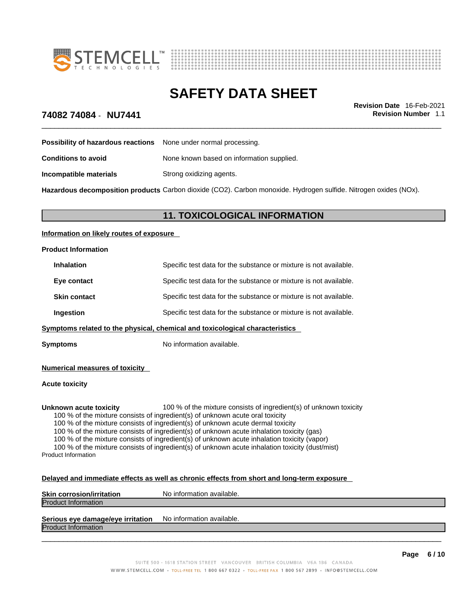



\_\_\_\_\_\_\_\_\_\_\_\_\_\_\_\_\_\_\_\_\_\_\_\_\_\_\_\_\_\_\_\_\_\_\_\_\_\_\_\_\_\_\_\_\_\_\_\_\_\_\_\_\_\_\_\_\_\_\_\_\_\_\_\_\_\_\_\_\_\_\_\_\_\_\_\_\_\_\_\_\_\_\_\_\_\_\_\_\_\_\_\_\_ **Revision Date** 16-Feb-2021

# **74082 74084** - **NU7441 Revision Number** 1.1

| Possibility of hazardous reactions | None under normal processing.             |
|------------------------------------|-------------------------------------------|
| Conditions to avoid                | None known based on information supplied. |
| Incompatible materials             | Strong oxidizing agents.                  |
|                                    |                                           |

**Hazardous decomposition products** Carbon dioxide (CO2). Carbon monoxide. Hydrogen sulfide. Nitrogen oxides (NOx).

# **11. TOXICOLOGICAL INFORMATION**

#### **Information on likely routes of exposure**

| <b>Product Information</b>                                                   |                                                                   |  |
|------------------------------------------------------------------------------|-------------------------------------------------------------------|--|
| <b>Inhalation</b>                                                            | Specific test data for the substance or mixture is not available. |  |
| Eye contact                                                                  | Specific test data for the substance or mixture is not available. |  |
| <b>Skin contact</b>                                                          | Specific test data for the substance or mixture is not available. |  |
| Ingestion                                                                    | Specific test data for the substance or mixture is not available. |  |
| Symptoms related to the physical, chemical and toxicological characteristics |                                                                   |  |
| <b>Symptoms</b>                                                              | No information available.                                         |  |

#### **Numerical measures of toxicity**

#### **Acute toxicity**

**Unknown acute toxicity** 100 % of the mixture consists of ingredient(s) of unknown toxicity

100 % of the mixture consists of ingredient(s) of unknown acute oral toxicity

100 % of the mixture consists of ingredient(s) of unknown acute dermal toxicity

100 % of the mixture consists of ingredient(s) of unknown acute inhalation toxicity (gas)

100 % of the mixture consists of ingredient(s) of unknown acute inhalation toxicity (vapor)

100 % of the mixture consists of ingredient(s) of unknown acute inhalation toxicity (dust/mist) Product Information

#### **Delayed and immediate effects as well as chronic effects from short and long-term exposure**

| <b>Skin corrosion/irritation</b>  | No information available. |
|-----------------------------------|---------------------------|
| <b>Product Information</b>        |                           |
|                                   |                           |
| Serious eye damage/eye irritation | No information available. |

Product Information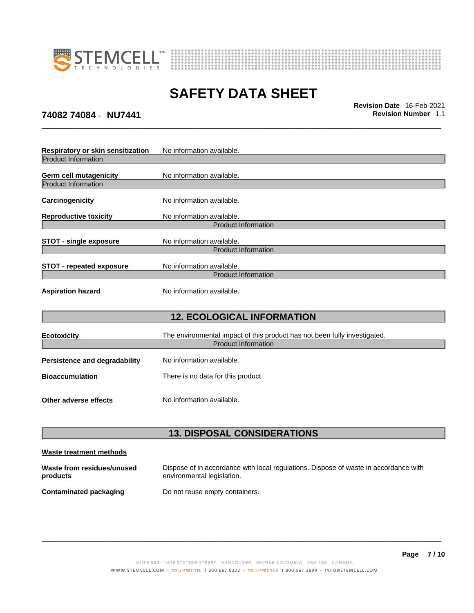



**74082 74084** - **NU7441 Revision Number** 1.1

\_\_\_\_\_\_\_\_\_\_\_\_\_\_\_\_\_\_\_\_\_\_\_\_\_\_\_\_\_\_\_\_\_\_\_\_\_\_\_\_\_\_\_\_\_\_\_\_\_\_\_\_\_\_\_\_\_\_\_\_\_\_\_\_\_\_\_\_\_\_\_\_\_\_\_\_\_\_\_\_\_\_\_\_\_\_\_\_\_\_\_\_\_ **Revision Date** 16-Feb-2021

| Respiratory or skin sensitization | No information available.                                                 |
|-----------------------------------|---------------------------------------------------------------------------|
| <b>Product Information</b>        |                                                                           |
| <b>Germ cell mutagenicity</b>     | No information available.                                                 |
| <b>Product Information</b>        |                                                                           |
| Carcinogenicity                   | No information available.                                                 |
| <b>Reproductive toxicity</b>      | No information available.                                                 |
|                                   | <b>Product Information</b>                                                |
| <b>STOT - single exposure</b>     | No information available.                                                 |
|                                   | <b>Product Information</b>                                                |
| <b>STOT - repeated exposure</b>   | No information available.                                                 |
|                                   | <b>Product Information</b>                                                |
| <b>Aspiration hazard</b>          | No information available.                                                 |
|                                   | <b>12. ECOLOGICAL INFORMATION</b>                                         |
| <b>Ecotoxicity</b>                | The environmental impact of this product has not been fully investigated. |
|                                   | <b>Product Information</b>                                                |
| Persistence and degradability     | No information available.                                                 |
| <b>Bioaccumulation</b>            | There is no data for this product.                                        |
| Other adverse effects             | No information available.                                                 |

# **13. DISPOSAL CONSIDERATIONS**

| Waste treatment methods                |                                                                                                                    |
|----------------------------------------|--------------------------------------------------------------------------------------------------------------------|
| Waste from residues/unused<br>products | Dispose of in accordance with local regulations. Dispose of waste in accordance with<br>environmental legislation. |
| <b>Contaminated packaging</b>          | Do not reuse empty containers.                                                                                     |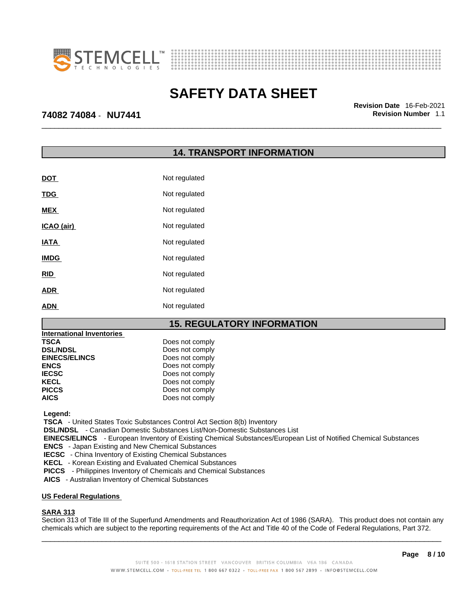



\_\_\_\_\_\_\_\_\_\_\_\_\_\_\_\_\_\_\_\_\_\_\_\_\_\_\_\_\_\_\_\_\_\_\_\_\_\_\_\_\_\_\_\_\_\_\_\_\_\_\_\_\_\_\_\_\_\_\_\_\_\_\_\_\_\_\_\_\_\_\_\_\_\_\_\_\_\_\_\_\_\_\_\_\_\_\_\_\_\_\_\_\_ **Revision Date** 16-Feb-2021

### **74082 74084** - **NU7441 Revision Number** 1.1

# **14. TRANSPORT INFORMATION**

| <b>DOT</b>  | Not regulated |
|-------------|---------------|
| <b>TDG</b>  | Not regulated |
| <b>MEX</b>  | Not regulated |
| ICAO (air)  | Not regulated |
| <b>IATA</b> | Not regulated |
| <b>IMDG</b> | Not regulated |
| <b>RID</b>  | Not regulated |
| <b>ADR</b>  | Not regulated |
| <b>ADN</b>  | Not regulated |

### **15. REGULATORY INFORMATION**

| International Inventories |                 |
|---------------------------|-----------------|
| <b>TSCA</b>               | Does not comply |
| <b>DSL/NDSL</b>           | Does not comply |
| <b>EINECS/ELINCS</b>      | Does not comply |
| <b>ENCS</b>               | Does not comply |
| <b>IECSC</b>              | Does not comply |
| <b>KECL</b>               | Does not comply |
| <b>PICCS</b>              | Does not comply |
| <b>AICS</b>               | Does not comply |

 **Legend:** 

 **TSCA** - United States Toxic Substances Control Act Section 8(b) Inventory

 **DSL/NDSL** - Canadian Domestic Substances List/Non-Domestic Substances List

 **EINECS/ELINCS** - European Inventory of Existing Chemical Substances/European List of Notified Chemical Substances

 **ENCS** - Japan Existing and New Chemical Substances

 **IECSC** - China Inventory of Existing Chemical Substances

 **KECL** - Korean Existing and Evaluated Chemical Substances

 **PICCS** - Philippines Inventory of Chemicals and Chemical Substances

 **AICS** - Australian Inventory of Chemical Substances

#### **US Federal Regulations**

#### **SARA 313**

 $\_$  ,  $\_$  ,  $\_$  ,  $\_$  ,  $\_$  ,  $\_$  ,  $\_$  ,  $\_$  ,  $\_$  ,  $\_$  ,  $\_$  ,  $\_$  ,  $\_$  ,  $\_$  ,  $\_$  ,  $\_$  ,  $\_$  ,  $\_$  ,  $\_$  ,  $\_$  ,  $\_$  ,  $\_$  ,  $\_$  ,  $\_$  ,  $\_$  ,  $\_$  ,  $\_$  ,  $\_$  ,  $\_$  ,  $\_$  ,  $\_$  ,  $\_$  ,  $\_$  ,  $\_$  ,  $\_$  ,  $\_$  ,  $\_$  , Section 313 of Title III of the Superfund Amendments and Reauthorization Act of 1986 (SARA). This product does not contain any chemicals which are subject to the reporting requirements of the Act and Title 40 of the Code of Federal Regulations, Part 372.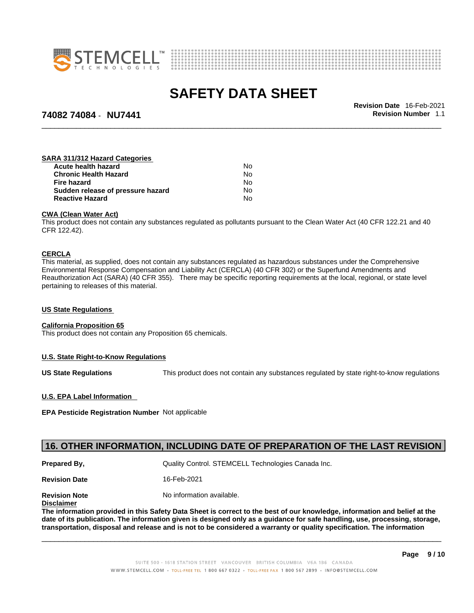



### **74082 74084** - **NU7441 Revision Number** 1.1

\_\_\_\_\_\_\_\_\_\_\_\_\_\_\_\_\_\_\_\_\_\_\_\_\_\_\_\_\_\_\_\_\_\_\_\_\_\_\_\_\_\_\_\_\_\_\_\_\_\_\_\_\_\_\_\_\_\_\_\_\_\_\_\_\_\_\_\_\_\_\_\_\_\_\_\_\_\_\_\_\_\_\_\_\_\_\_\_\_\_\_\_\_ **Revision Date** 16-Feb-2021

### **SARA 311/312 Hazard Categories**

| Nο  |  |
|-----|--|
| No. |  |
| N٥  |  |
| No. |  |
| N٥  |  |
|     |  |

#### **CWA** (Clean Water Act)

This product does not contain any substances regulated as pollutants pursuant to the Clean Water Act (40 CFR 122.21 and 40 CFR 122.42).

#### **CERCLA**

This material, as supplied, does not contain any substances regulated as hazardous substances under the Comprehensive Environmental Response Compensation and Liability Act (CERCLA) (40 CFR 302) or the Superfund Amendments and Reauthorization Act (SARA) (40 CFR 355). There may be specific reporting requirements at the local, regional, or state level pertaining to releases of this material.

#### **US State Regulations**

#### **California Proposition 65**

This product does not contain any Proposition 65 chemicals.

#### **U.S. State Right-to-Know Regulations**

**US State Regulations** This product does not contain any substances regulated by state right-to-know regulations

#### **U.S. EPA Label Information**

**EPA Pesticide Registration Number** Not applicable

### **16. OTHER INFORMATION, INCLUDING DATE OF PREPARATION OF THE LAST REVISION**

**Prepared By, State Control. STEMCELL Technologies Canada Inc.** Canada Inc.

**Revision Date** 16-Feb-2021

**Revision Note** Noinformation available.

**Disclaimer**

The information provided in this Safety Data Sheet is correct to the best of our knowledge, information and belief at the date of its publication. The information given is designed only as a guidance for safe handling, use, processing, storage, transportation, disposal and release and is not to be considered a warranty or quality specification. The information